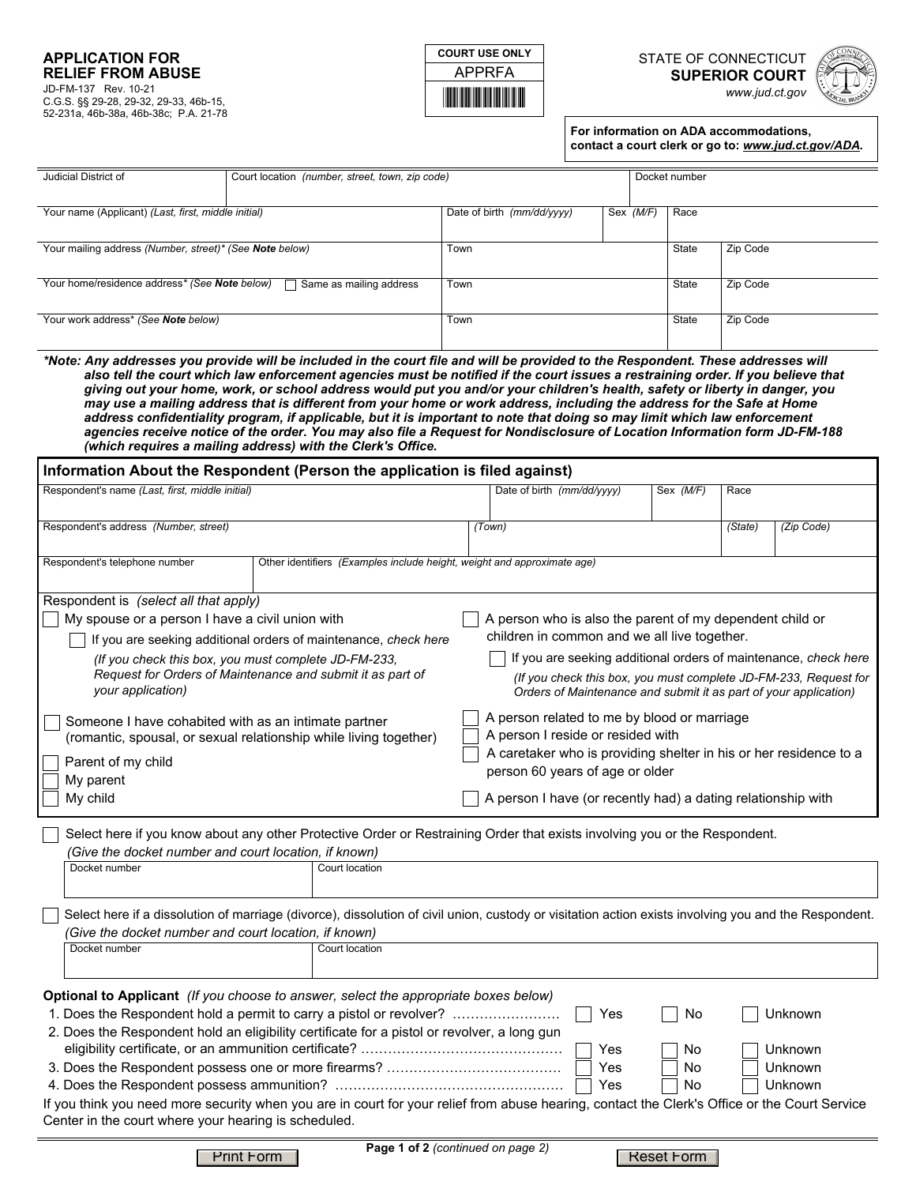## **APPLICATION FOR RELIEF FROM ABUSE**  JD-FM-137 Rev. 10-21 C.G.S. §§ 29-28, 29-32, 29-33, 46b-15, 52-231a, 46b-38a, 46b-38c; P.A. 21-78



**COURT USE ONLY** STATE OF CONNECTICUT **SUPERIOR COURT**  *www.jud.ct.gov*



**For information on ADA accommodations, contact a court clerk or go to:** *www.jud.ct.gov/ADA.*

| Judicial District of                                                                                                                                                                                                                              | Docket number<br>Court location (number, street, town, zip code)                                                                                                                                                                                                                                                                                                                                                                                                                                                                                                                                                                                                                                                                                                                                                                                        |      |                                                                                                                                                                                                                                                                                                                                                                                                                                          |           |           |          |                                                                                                                                     |  |
|---------------------------------------------------------------------------------------------------------------------------------------------------------------------------------------------------------------------------------------------------|---------------------------------------------------------------------------------------------------------------------------------------------------------------------------------------------------------------------------------------------------------------------------------------------------------------------------------------------------------------------------------------------------------------------------------------------------------------------------------------------------------------------------------------------------------------------------------------------------------------------------------------------------------------------------------------------------------------------------------------------------------------------------------------------------------------------------------------------------------|------|------------------------------------------------------------------------------------------------------------------------------------------------------------------------------------------------------------------------------------------------------------------------------------------------------------------------------------------------------------------------------------------------------------------------------------------|-----------|-----------|----------|-------------------------------------------------------------------------------------------------------------------------------------|--|
| Your name (Applicant) (Last, first, middle initial)                                                                                                                                                                                               |                                                                                                                                                                                                                                                                                                                                                                                                                                                                                                                                                                                                                                                                                                                                                                                                                                                         |      | Date of birth (mm/dd/yyyy)                                                                                                                                                                                                                                                                                                                                                                                                               | Sex (M/F) | Race      |          |                                                                                                                                     |  |
|                                                                                                                                                                                                                                                   |                                                                                                                                                                                                                                                                                                                                                                                                                                                                                                                                                                                                                                                                                                                                                                                                                                                         |      |                                                                                                                                                                                                                                                                                                                                                                                                                                          |           |           |          |                                                                                                                                     |  |
| Your mailing address (Number, street)* (See Note below)                                                                                                                                                                                           |                                                                                                                                                                                                                                                                                                                                                                                                                                                                                                                                                                                                                                                                                                                                                                                                                                                         | Town |                                                                                                                                                                                                                                                                                                                                                                                                                                          |           | State     | Zip Code |                                                                                                                                     |  |
| Your home/residence address* (See Note below)                                                                                                                                                                                                     | Same as mailing address                                                                                                                                                                                                                                                                                                                                                                                                                                                                                                                                                                                                                                                                                                                                                                                                                                 | Town |                                                                                                                                                                                                                                                                                                                                                                                                                                          |           | State     | Zip Code |                                                                                                                                     |  |
| Your work address* (See Note below)                                                                                                                                                                                                               |                                                                                                                                                                                                                                                                                                                                                                                                                                                                                                                                                                                                                                                                                                                                                                                                                                                         | Town | State                                                                                                                                                                                                                                                                                                                                                                                                                                    |           |           | Zip Code |                                                                                                                                     |  |
|                                                                                                                                                                                                                                                   | *Note: Any addresses you provide will be included in the court file and will be provided to the Respondent. These addresses will<br>also tell the court which law enforcement agencies must be notified if the court issues a restraining order. If you believe that<br>giving out your home, work, or school address would put you and/or your children's health, safety or liberty in danger, you<br>may use a mailing address that is different from your home or work address, including the address for the Safe at Home<br>address confidentiality program, if applicable, but it is important to note that doing so may limit which law enforcement<br>agencies receive notice of the order. You may also file a Request for Nondisclosure of Location Information form JD-FM-188<br>(which requires a mailing address) with the Clerk's Office. |      |                                                                                                                                                                                                                                                                                                                                                                                                                                          |           |           |          |                                                                                                                                     |  |
|                                                                                                                                                                                                                                                   | Information About the Respondent (Person the application is filed against)                                                                                                                                                                                                                                                                                                                                                                                                                                                                                                                                                                                                                                                                                                                                                                              |      |                                                                                                                                                                                                                                                                                                                                                                                                                                          |           |           |          |                                                                                                                                     |  |
| Respondent's name (Last, first, middle initial)                                                                                                                                                                                                   |                                                                                                                                                                                                                                                                                                                                                                                                                                                                                                                                                                                                                                                                                                                                                                                                                                                         |      | Date of birth (mm/dd/yyyy)                                                                                                                                                                                                                                                                                                                                                                                                               |           | Sex (M/F) | Race     |                                                                                                                                     |  |
| Respondent's address (Number, street)                                                                                                                                                                                                             |                                                                                                                                                                                                                                                                                                                                                                                                                                                                                                                                                                                                                                                                                                                                                                                                                                                         |      | (Town)                                                                                                                                                                                                                                                                                                                                                                                                                                   |           |           | (State)  | (Zip Code)                                                                                                                          |  |
| Respondent's telephone number                                                                                                                                                                                                                     | Other identifiers (Examples include height, weight and approximate age)                                                                                                                                                                                                                                                                                                                                                                                                                                                                                                                                                                                                                                                                                                                                                                                 |      |                                                                                                                                                                                                                                                                                                                                                                                                                                          |           |           |          |                                                                                                                                     |  |
| Respondent is (select all that apply)<br>My spouse or a person I have a civil union with<br>your application)<br>Parent of my child<br>My parent<br>My child                                                                                      | If you are seeking additional orders of maintenance, check here<br>(If you check this box, you must complete JD-FM-233,<br>Request for Orders of Maintenance and submit it as part of<br>Someone I have cohabited with as an intimate partner<br>(romantic, spousal, or sexual relationship while living together)                                                                                                                                                                                                                                                                                                                                                                                                                                                                                                                                      |      | A person who is also the parent of my dependent child or<br>children in common and we all live together.<br>Orders of Maintenance and submit it as part of your application)<br>A person related to me by blood or marriage<br>A person I reside or resided with<br>A caretaker who is providing shelter in his or her residence to a<br>person 60 years of age or older<br>A person I have (or recently had) a dating relationship with |           |           |          | If you are seeking additional orders of maintenance, check here<br>(If you check this box, you must complete JD-FM-233, Request for |  |
|                                                                                                                                                                                                                                                   | Select here if you know about any other Protective Order or Restraining Order that exists involving you or the Respondent.<br>(Give the docket number and court location, if known)                                                                                                                                                                                                                                                                                                                                                                                                                                                                                                                                                                                                                                                                     |      |                                                                                                                                                                                                                                                                                                                                                                                                                                          |           |           |          |                                                                                                                                     |  |
| Docket number                                                                                                                                                                                                                                     | Court location                                                                                                                                                                                                                                                                                                                                                                                                                                                                                                                                                                                                                                                                                                                                                                                                                                          |      |                                                                                                                                                                                                                                                                                                                                                                                                                                          |           |           |          |                                                                                                                                     |  |
| Select here if a dissolution of marriage (divorce), dissolution of civil union, custody or visitation action exists involving you and the Respondent.<br>(Give the docket number and court location, if known)<br>Docket number<br>Court location |                                                                                                                                                                                                                                                                                                                                                                                                                                                                                                                                                                                                                                                                                                                                                                                                                                                         |      |                                                                                                                                                                                                                                                                                                                                                                                                                                          |           |           |          |                                                                                                                                     |  |
|                                                                                                                                                                                                                                                   | <b>Optional to Applicant</b> (If you choose to answer, select the appropriate boxes below)<br>1. Does the Respondent hold a permit to carry a pistol or revolver?                                                                                                                                                                                                                                                                                                                                                                                                                                                                                                                                                                                                                                                                                       |      |                                                                                                                                                                                                                                                                                                                                                                                                                                          | Yes       | No        |          | Unknown                                                                                                                             |  |
|                                                                                                                                                                                                                                                   | 2. Does the Respondent hold an eligibility certificate for a pistol or revolver, a long gun                                                                                                                                                                                                                                                                                                                                                                                                                                                                                                                                                                                                                                                                                                                                                             |      |                                                                                                                                                                                                                                                                                                                                                                                                                                          | Yes       | No        |          | Unknown                                                                                                                             |  |
| Yes<br>No<br>Unknown                                                                                                                                                                                                                              |                                                                                                                                                                                                                                                                                                                                                                                                                                                                                                                                                                                                                                                                                                                                                                                                                                                         |      |                                                                                                                                                                                                                                                                                                                                                                                                                                          |           |           |          |                                                                                                                                     |  |
|                                                                                                                                                                                                                                                   |                                                                                                                                                                                                                                                                                                                                                                                                                                                                                                                                                                                                                                                                                                                                                                                                                                                         |      |                                                                                                                                                                                                                                                                                                                                                                                                                                          | Yes       | No        |          | Unknown                                                                                                                             |  |
| Center in the court where your hearing is scheduled.                                                                                                                                                                                              | If you think you need more security when you are in court for your relief from abuse hearing, contact the Clerk's Office or the Court Service                                                                                                                                                                                                                                                                                                                                                                                                                                                                                                                                                                                                                                                                                                           |      |                                                                                                                                                                                                                                                                                                                                                                                                                                          |           |           |          |                                                                                                                                     |  |

**Page 1 of 2** *(continued on page 2)*

Print Form Prince Fage For 2 (commed on page 2) Reset Form